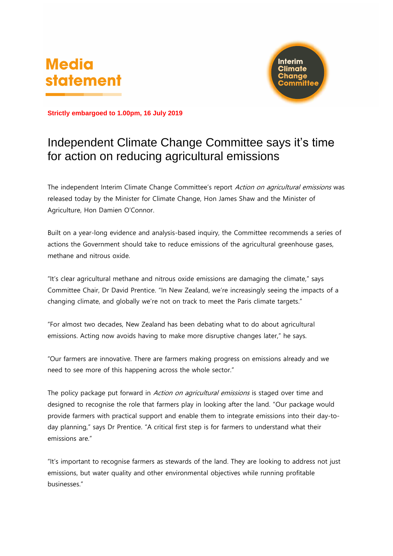# **Media statement**



**Strictly embargoed to 1.00pm, 16 July 2019**

## Independent Climate Change Committee says it's time for action on reducing agricultural emissions

The independent Interim Climate Change Committee's report Action on agricultural emissions was released today by the Minister for Climate Change, Hon James Shaw and the Minister of Agriculture, Hon Damien O'Connor.

Built on a year-long evidence and analysis-based inquiry, the Committee recommends a series of actions the Government should take to reduce emissions of the agricultural greenhouse gases, methane and nitrous oxide.

"It's clear agricultural methane and nitrous oxide emissions are damaging the climate," says Committee Chair, Dr David Prentice. "In New Zealand, we're increasingly seeing the impacts of a changing climate, and globally we're not on track to meet the Paris climate targets."

"For almost two decades, New Zealand has been debating what to do about agricultural emissions. Acting now avoids having to make more disruptive changes later," he says.

"Our farmers are innovative. There are farmers making progress on emissions already and we need to see more of this happening across the whole sector."

The policy package put forward in Action on agricultural emissions is staged over time and designed to recognise the role that farmers play in looking after the land. "Our package would provide farmers with practical support and enable them to integrate emissions into their day-today planning," says Dr Prentice. "A critical first step is for farmers to understand what their emissions are."

"It's important to recognise farmers as stewards of the land. They are looking to address not just emissions, but water quality and other environmental objectives while running profitable businesses."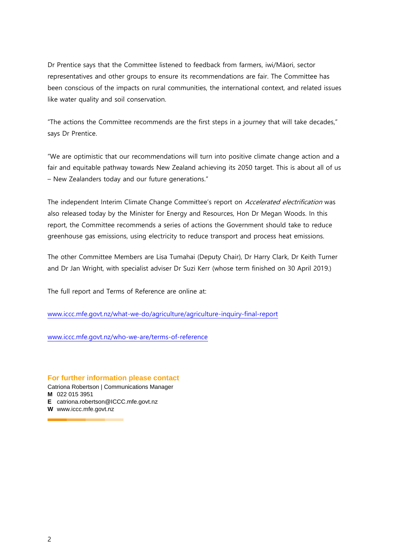Dr Prentice says that the Committee listened to feedback from farmers, iwi/Māori, sector representatives and other groups to ensure its recommendations are fair. The Committee has been conscious of the impacts on rural communities, the international context, and related issues like water quality and soil conservation.

"The actions the Committee recommends are the first steps in a journey that will take decades," says Dr Prentice.

"We are optimistic that our recommendations will turn into positive climate change action and a fair and equitable pathway towards New Zealand achieving its 2050 target. This is about all of us – New Zealanders today and our future generations."

The independent Interim Climate Change Committee's report on Accelerated electrification was also released today by the Minister for Energy and Resources, Hon Dr Megan Woods. In this report, the Committee recommends a series of actions the Government should take to reduce greenhouse gas emissions, using electricity to reduce transport and process heat emissions.

The other Committee Members are Lisa Tumahai (Deputy Chair), Dr Harry Clark, Dr Keith Turner and Dr Jan Wright, with specialist adviser Dr Suzi Kerr (whose term finished on 30 April 2019.)

The full report and Terms of Reference are online at:

<www.iccc.mfe.govt.nz/what-we-do/agriculture/agriculture-inquiry-final-report>

www.iccc.mfe.govt.nz/who-we-are/terms-of-reference

#### **For further information please contact**

Catriona Robertson | Communications Manager **M** 022 015 3951

**E** catriona.robertson@ICCC.mfe.govt.nz

**W** www.iccc.mfe.govt.nz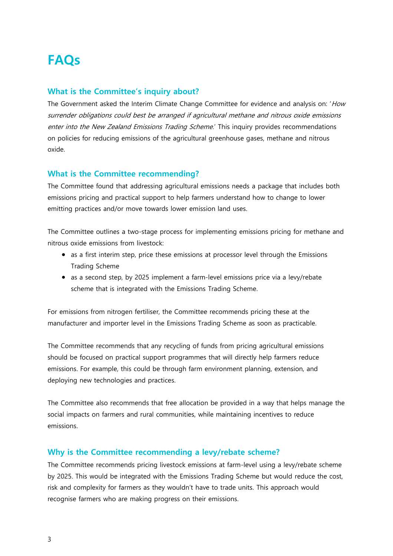## **FAQs**

#### **What is the Committee's inquiry about?**

The Government asked the Interim Climate Change Committee for evidence and analysis on: 'How surrender obligations could best be arranged if agricultural methane and nitrous oxide emissions enter into the New Zealand Emissions Trading Scheme.' This inquiry provides recommendations on policies for reducing emissions of the agricultural greenhouse gases, methane and nitrous oxide.

#### **What is the Committee recommending?**

The Committee found that addressing agricultural emissions needs a package that includes both emissions pricing and practical support to help farmers understand how to change to lower emitting practices and/or move towards lower emission land uses.

The Committee outlines a two-stage process for implementing emissions pricing for methane and nitrous oxide emissions from livestock:

- as a first interim step, price these emissions at processor level through the Emissions Trading Scheme
- as a second step, by 2025 implement a farm-level emissions price via a levy/rebate scheme that is integrated with the Emissions Trading Scheme.

For emissions from nitrogen fertiliser, the Committee recommends pricing these at the manufacturer and importer level in the Emissions Trading Scheme as soon as practicable.

The Committee recommends that any recycling of funds from pricing agricultural emissions should be focused on practical support programmes that will directly help farmers reduce emissions. For example, this could be through farm environment planning, extension, and deploying new technologies and practices.

The Committee also recommends that free allocation be provided in a way that helps manage the social impacts on farmers and rural communities, while maintaining incentives to reduce emissions.

#### **Why is the Committee recommending a levy/rebate scheme?**

The Committee recommends pricing livestock emissions at farm-level using a levy/rebate scheme by 2025. This would be integrated with the Emissions Trading Scheme but would reduce the cost, risk and complexity for farmers as they wouldn't have to trade units. This approach would recognise farmers who are making progress on their emissions.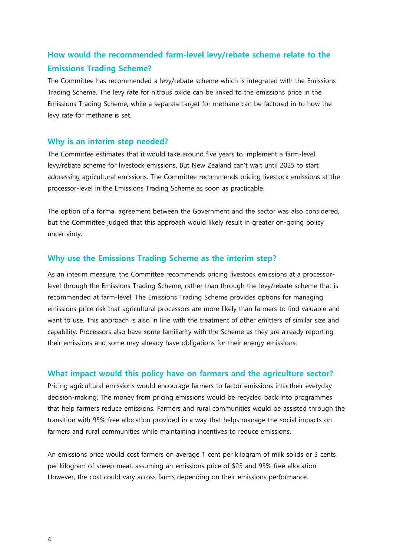### **How would the recommended farm-level levy/rebate scheme relate to the Emissions Trading Scheme?**

The Committee has recommended a levy/rebate scheme which is integrated with the Emissions Trading Scheme. The levy rate for nitrous oxide can be linked to the emissions price in the Emissions Trading Scheme, while a separate target for methane can be factored in to how the levy rate for methane is set.

#### **Why is an interim step needed?**

The Committee estimates that it would take around five years to implement a farm-level levy/rebate scheme for livestock emissions. But New Zealand can't wait until 2025 to start addressing agricultural emissions. The Committee recommends pricing livestock emissions at the processor-level in the Emissions Trading Scheme as soon as practicable.

The option of a formal agreement between the Government and the sector was also considered, but the Committee judged that this approach would likely result in greater on-going policy uncertainty.

#### **Why use the Emissions Trading Scheme as the interim step?**

As an interim measure, the Committee recommends pricing livestock emissions at a processorlevel through the Emissions Trading Scheme, rather than through the levy/rebate scheme that is recommended at farm-level. The Emissions Trading Scheme provides options for managing emissions price risk that agricultural processors are more likely than farmers to find valuable and want to use. This approach is also in line with the treatment of other emitters of similar size and capability. Processors also have some familiarity with the Scheme as they are already reporting their emissions and some may already have obligations for their energy emissions.

#### **What impact would this policy have on farmers and the agriculture sector?**

Pricing agricultural emissions would encourage farmers to factor emissions into their everyday decision-making. The money from pricing emissions would be recycled back into programmes that help farmers reduce emissions. Farmers and rural communities would be assisted through the transition with 95% free allocation provided in a way that helps manage the social impacts on farmers and rural communities while maintaining incentives to reduce emissions.

An emissions price would cost farmers on average 1 cent per kilogram of milk solids or 3 cents per kilogram of sheep meat, assuming an emissions price of \$25 and 95% free allocation. However, the cost could vary across farms depending on their emissions performance.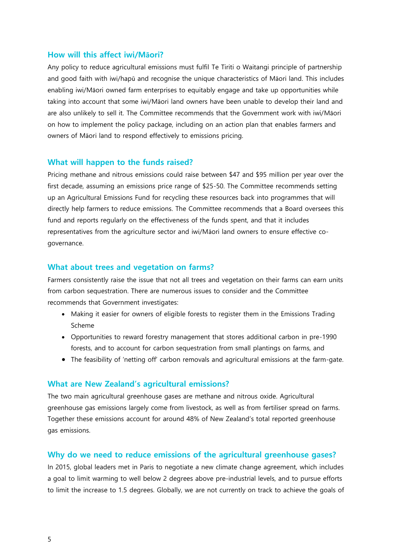#### **How will this affect iwi/Māori?**

Any policy to reduce agricultural emissions must fulfil Te Tiriti o Waitangi principle of partnership and good faith with iwi/hapū and recognise the unique characteristics of Māori land. This includes enabling iwi/Māori owned farm enterprises to equitably engage and take up opportunities while taking into account that some iwi/Māori land owners have been unable to develop their land and are also unlikely to sell it. The Committee recommends that the Government work with iwi/Māori on how to implement the policy package, including on an action plan that enables farmers and owners of Māori land to respond effectively to emissions pricing.

#### **What will happen to the funds raised?**

Pricing methane and nitrous emissions could raise between \$47 and \$95 million per year over the first decade, assuming an emissions price range of \$25-50. The Committee recommends setting up an Agricultural Emissions Fund for recycling these resources back into programmes that will directly help farmers to reduce emissions. The Committee recommends that a Board oversees this fund and reports regularly on the effectiveness of the funds spent, and that it includes representatives from the agriculture sector and iwi/Māori land owners to ensure effective cogovernance.

#### **What about trees and vegetation on farms?**

Farmers consistently raise the issue that not all trees and vegetation on their farms can earn units from carbon sequestration. There are numerous issues to consider and the Committee recommends that Government investigates:

- Making it easier for owners of eligible forests to register them in the Emissions Trading Scheme
- Opportunities to reward forestry management that stores additional carbon in pre-1990 forests, and to account for carbon sequestration from small plantings on farms, and
- The feasibility of 'netting off' carbon removals and agricultural emissions at the farm-gate.

#### **What are New Zealand's agricultural emissions?**

The two main agricultural greenhouse gases are methane and nitrous oxide. Agricultural greenhouse gas emissions largely come from livestock, as well as from fertiliser spread on farms. Together these emissions account for around 48% of New Zealand's total reported greenhouse gas emissions.

#### **Why do we need to reduce emissions of the agricultural greenhouse gases?**

In 2015, global leaders met in Paris to negotiate a new climate change agreement, which includes a goal to limit warming to well below 2 degrees above pre-industrial levels, and to pursue efforts to limit the increase to 1.5 degrees. Globally, we are not currently on track to achieve the goals of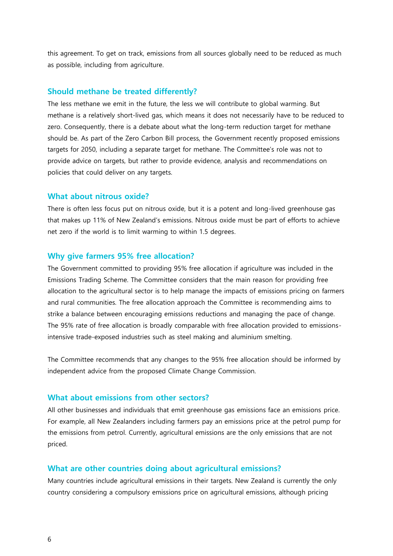this agreement. To get on track, emissions from all sources globally need to be reduced as much as possible, including from agriculture.

#### **Should methane be treated differently?**

The less methane we emit in the future, the less we will contribute to global warming. But methane is a relatively short-lived gas, which means it does not necessarily have to be reduced to zero. Consequently, there is a debate about what the long-term reduction target for methane should be. As part of the Zero Carbon Bill process, the Government recently proposed emissions targets for 2050, including a separate target for methane. The Committee's role was not to provide advice on targets, but rather to provide evidence, analysis and recommendations on policies that could deliver on any targets.

#### **What about nitrous oxide?**

There is often less focus put on nitrous oxide, but it is a potent and long-lived greenhouse gas that makes up 11% of New Zealand's emissions. Nitrous oxide must be part of efforts to achieve net zero if the world is to limit warming to within 1.5 degrees.

#### **Why give farmers 95% free allocation?**

The Government committed to providing 95% free allocation if agriculture was included in the Emissions Trading Scheme. The Committee considers that the main reason for providing free allocation to the agricultural sector is to help manage the impacts of emissions pricing on farmers and rural communities. The free allocation approach the Committee is recommending aims to strike a balance between encouraging emissions reductions and managing the pace of change. The 95% rate of free allocation is broadly comparable with free allocation provided to emissionsintensive trade-exposed industries such as steel making and aluminium smelting.

The Committee recommends that any changes to the 95% free allocation should be informed by independent advice from the proposed Climate Change Commission.

#### **What about emissions from other sectors?**

All other businesses and individuals that emit greenhouse gas emissions face an emissions price. For example, all New Zealanders including farmers pay an emissions price at the petrol pump for the emissions from petrol. Currently, agricultural emissions are the only emissions that are not priced.

#### **What are other countries doing about agricultural emissions?**

Many countries include agricultural emissions in their targets. New Zealand is currently the only country considering a compulsory emissions price on agricultural emissions, although pricing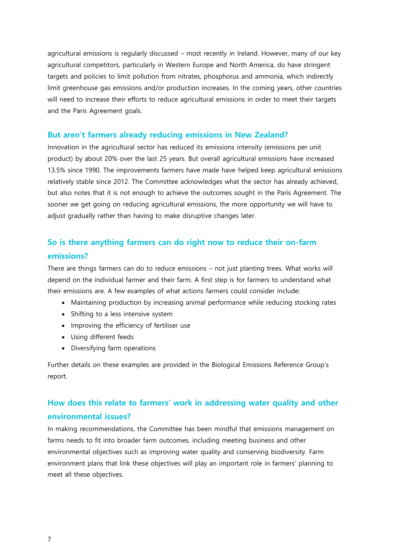agricultural emissions is regularly discussed – most recently in Ireland. However, many of our key agricultural competitors, particularly in Western Europe and North America, do have stringent targets and policies to limit pollution from nitrates, phosphorus and ammonia, which indirectly limit greenhouse gas emissions and/or production increases. In the coming years, other countries will need to increase their efforts to reduce agricultural emissions in order to meet their targets and the Paris Agreement goals.

#### **But aren't farmers already reducing emissions in New Zealand?**

Innovation in the agricultural sector has reduced its emissions intensity (emissions per unit product) by about 20% over the last 25 years. But overall agricultural emissions have increased 13.5% since 1990. The improvements farmers have made have helped keep agricultural emissions relatively stable since 2012. The Committee acknowledges what the sector has already achieved, but also notes that it is not enough to achieve the outcomes sought in the Paris Agreement. The sooner we get going on reducing agricultural emissions, the more opportunity we will have to adjust gradually rather than having to make disruptive changes later.

## **So is there anything farmers can do right now to reduce their on-farm emissions?**

There are things farmers can do to reduce emissions – not just planting trees. What works will depend on the individual farmer and their farm. A first step is for farmers to understand what their emissions are. A few examples of what actions farmers could consider include:

- Maintaining production by increasing animal performance while reducing stocking rates
- Shifting to a less intensive system
- Improving the efficiency of fertiliser use
- Using different feeds
- Diversifying farm operations

Further details on these examples are provided in the Biological Emissions Reference Group's report.

## **How does this relate to farmers' work in addressing water quality and other environmental issues?**

In making recommendations, the Committee has been mindful that emissions management on farms needs to fit into broader farm outcomes, including meeting business and other environmental objectives such as improving water quality and conserving biodiversity. Farm environment plans that link these objectives will play an important role in farmers' planning to meet all these objectives.